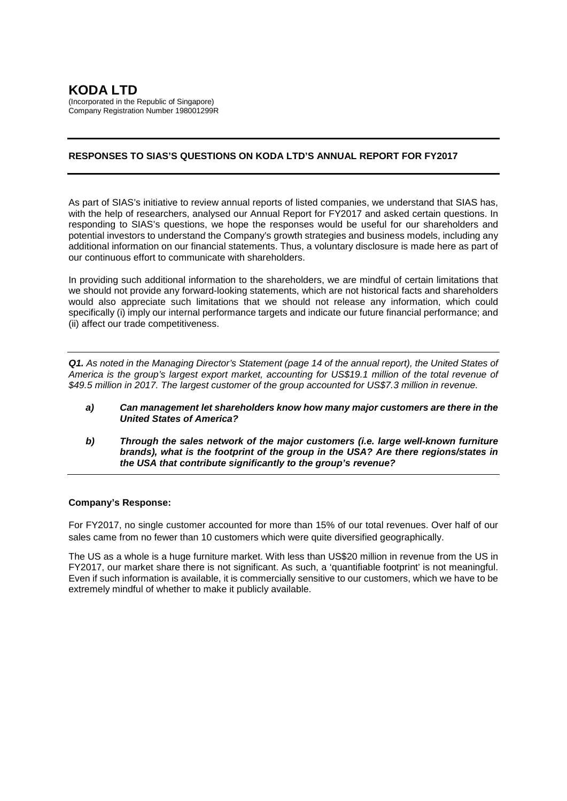# **RESPONSES TO SIAS'S QUESTIONS ON KODA LTD'S ANNUAL REPORT FOR FY2017**

As part of SIAS's initiative to review annual reports of listed companies, we understand that SIAS has, with the help of researchers, analysed our Annual Report for FY2017 and asked certain questions. In responding to SIAS's questions, we hope the responses would be useful for our shareholders and potential investors to understand the Company's growth strategies and business models, including any additional information on our financial statements. Thus, a voluntary disclosure is made here as part of our continuous effort to communicate with shareholders.

In providing such additional information to the shareholders, we are mindful of certain limitations that we should not provide any forward-looking statements, which are not historical facts and shareholders would also appreciate such limitations that we should not release any information, which could specifically (i) imply our internal performance targets and indicate our future financial performance; and (ii) affect our trade competitiveness.

*Q1. As noted in the Managing Director's Statement (page 14 of the annual report), the United States of America is the group's largest export market, accounting for US\$19.1 million of the total revenue of \$49.5 million in 2017. The largest customer of the group accounted for US\$7.3 million in revenue.*

- *a) Can management let shareholders know how many major customers are there in the United States of America?*
- *b) Through the sales network of the major customers (i.e. large well-known furniture brands), what is the footprint of the group in the USA? Are there regions/states in the USA that contribute significantly to the group's revenue?*

# **Company's Response:**

For FY2017, no single customer accounted for more than 15% of our total revenues. Over half of our sales came from no fewer than 10 customers which were quite diversified geographically.

The US as a whole is a huge furniture market. With less than US\$20 million in revenue from the US in FY2017, our market share there is not significant. As such, a 'quantifiable footprint' is not meaningful. Even if such information is available, it is commercially sensitive to our customers, which we have to be extremely mindful of whether to make it publicly available.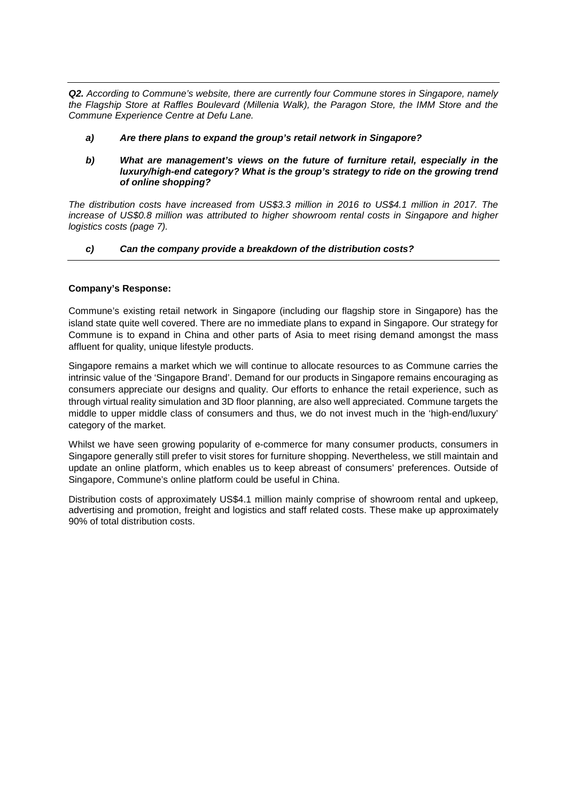*Q2. According to Commune's website, there are currently four Commune stores in Singapore, namely the Flagship Store at Raffles Boulevard (Millenia Walk), the Paragon Store, the IMM Store and the Commune Experience Centre at Defu Lane.*

- *a) Are there plans to expand the group's retail network in Singapore?*
- *b) What are management's views on the future of furniture retail, especially in the luxury/high-end category? What is the group's strategy to ride on the growing trend of online shopping?*

*The distribution costs have increased from US\$3.3 million in 2016 to US\$4.1 million in 2017. The increase of US\$0.8 million was attributed to higher showroom rental costs in Singapore and higher logistics costs (page 7).*

# *c) Can the company provide a breakdown of the distribution costs?*

## **Company's Response:**

Commune's existing retail network in Singapore (including our flagship store in Singapore) has the island state quite well covered. There are no immediate plans to expand in Singapore. Our strategy for Commune is to expand in China and other parts of Asia to meet rising demand amongst the mass affluent for quality, unique lifestyle products.

Singapore remains a market which we will continue to allocate resources to as Commune carries the intrinsic value of the 'Singapore Brand'. Demand for our products in Singapore remains encouraging as consumers appreciate our designs and quality. Our efforts to enhance the retail experience, such as through virtual reality simulation and 3D floor planning, are also well appreciated. Commune targets the middle to upper middle class of consumers and thus, we do not invest much in the 'high-end/luxury' category of the market.

Whilst we have seen growing popularity of e-commerce for many consumer products, consumers in Singapore generally still prefer to visit stores for furniture shopping. Nevertheless, we still maintain and update an online platform, which enables us to keep abreast of consumers' preferences. Outside of Singapore, Commune's online platform could be useful in China.

Distribution costs of approximately US\$4.1 million mainly comprise of showroom rental and upkeep, advertising and promotion, freight and logistics and staff related costs. These make up approximately 90% of total distribution costs.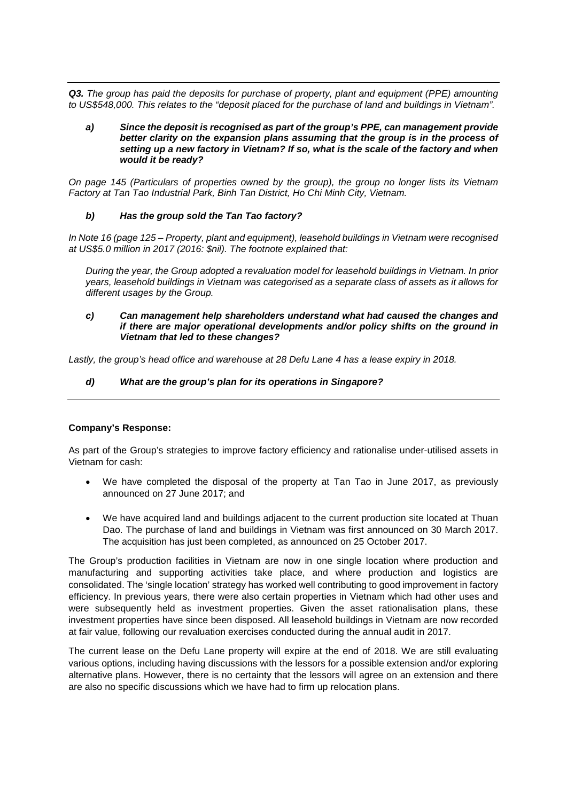*Q3. The group has paid the deposits for purchase of property, plant and equipment (PPE) amounting to US\$548,000. This relates to the "deposit placed for the purchase of land and buildings in Vietnam".*

*a) Since the deposit is recognised as part of the group's PPE, can management provide better clarity on the expansion plans assuming that the group is in the process of setting up a new factory in Vietnam? If so, what is the scale of the factory and when would it be ready?*

*On page 145 (Particulars of properties owned by the group), the group no longer lists its Vietnam Factory at Tan Tao Industrial Park, Binh Tan District, Ho Chi Minh City, Vietnam.*

## *b) Has the group sold the Tan Tao factory?*

*In Note 16 (page 125 – Property, plant and equipment), leasehold buildings in Vietnam were recognised at US\$5.0 million in 2017 (2016: \$nil). The footnote explained that:*

*During the year, the Group adopted a revaluation model for leasehold buildings in Vietnam. In prior years, leasehold buildings in Vietnam was categorised as a separate class of assets as it allows for different usages by the Group.*

#### *c) Can management help shareholders understand what had caused the changes and if there are major operational developments and/or policy shifts on the ground in Vietnam that led to these changes?*

*Lastly, the group's head office and warehouse at 28 Defu Lane 4 has a lease expiry in 2018.*

### *d) What are the group's plan for its operations in Singapore?*

### **Company's Response:**

As part of the Group's strategies to improve factory efficiency and rationalise under-utilised assets in Vietnam for cash:

- We have completed the disposal of the property at Tan Tao in June 2017, as previously announced on 27 June 2017; and
- We have acquired land and buildings adjacent to the current production site located at Thuan Dao. The purchase of land and buildings in Vietnam was first announced on 30 March 2017. The acquisition has just been completed, as announced on 25 October 2017.

The Group's production facilities in Vietnam are now in one single location where production and manufacturing and supporting activities take place, and where production and logistics are consolidated. The 'single location' strategy has worked well contributing to good improvement in factory efficiency. In previous years, there were also certain properties in Vietnam which had other uses and were subsequently held as investment properties. Given the asset rationalisation plans, these investment properties have since been disposed. All leasehold buildings in Vietnam are now recorded at fair value, following our revaluation exercises conducted during the annual audit in 2017.

The current lease on the Defu Lane property will expire at the end of 2018. We are still evaluating various options, including having discussions with the lessors for a possible extension and/or exploring alternative plans. However, there is no certainty that the lessors will agree on an extension and there are also no specific discussions which we have had to firm up relocation plans.